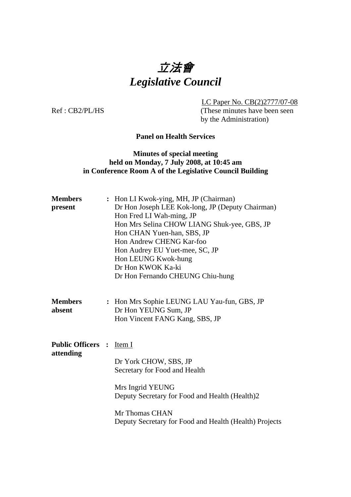# 立法會 *Legislative Council*

LC Paper No. CB(2)2777/07-08

Ref : CB2/PL/HS (These minutes have been seen by the Administration)

# **Panel on Health Services**

# **Minutes of special meeting held on Monday, 7 July 2008, at 10:45 am in Conference Room A of the Legislative Council Building**

| <b>Members</b><br>present             | : Hon LI Kwok-ying, MH, JP (Chairman)<br>Dr Hon Joseph LEE Kok-long, JP (Deputy Chairman)<br>Hon Fred LI Wah-ming, JP<br>Hon Mrs Selina CHOW LIANG Shuk-yee, GBS, JP<br>Hon CHAN Yuen-han, SBS, JP<br>Hon Andrew CHENG Kar-foo<br>Hon Audrey EU Yuet-mee, SC, JP<br>Hon LEUNG Kwok-hung<br>Dr Hon KWOK Ka-ki<br>Dr Hon Fernando CHEUNG Chiu-hung |
|---------------------------------------|--------------------------------------------------------------------------------------------------------------------------------------------------------------------------------------------------------------------------------------------------------------------------------------------------------------------------------------------------|
| <b>Members</b><br>absent              | : Hon Mrs Sophie LEUNG LAU Yau-fun, GBS, JP<br>Dr Hon YEUNG Sum, JP<br>Hon Vincent FANG Kang, SBS, JP                                                                                                                                                                                                                                            |
| <b>Public Officers :</b><br>attending | Item I<br>Dr York CHOW, SBS, JP<br>Secretary for Food and Health<br>Mrs Ingrid YEUNG<br>Deputy Secretary for Food and Health (Health)2<br>Mr Thomas CHAN<br>Deputy Secretary for Food and Health (Health) Projects                                                                                                                               |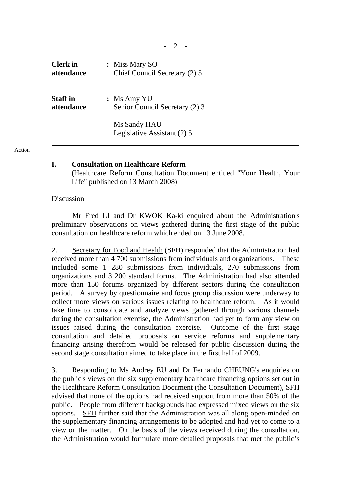| <b>Clerk</b> in | : Miss Mary SO                              |
|-----------------|---------------------------------------------|
| attendance      | Chief Council Secretary (2) 5               |
| <b>Staff</b> in | $:$ Ms Amy YU                               |
| attendance      | Senior Council Secretary (2) 3              |
|                 | Ms Sandy HAU<br>Legislative Assistant (2) 5 |

#### Action

## **I. Consultation on Healthcare Reform**

 (Healthcare Reform Consultation Document entitled "Your Health, Your Life" published on 13 March 2008)

### Discussion

 Mr Fred LI and Dr KWOK Ka-ki enquired about the Administration's preliminary observations on views gathered during the first stage of the public consultation on healthcare reform which ended on 13 June 2008.

2. Secretary for Food and Health (SFH) responded that the Administration had received more than 4 700 submissions from individuals and organizations. These included some 1 280 submissions from individuals, 270 submissions from organizations and 3 200 standard forms. The Administration had also attended more than 150 forums organized by different sectors during the consultation period. A survey by questionnaire and focus group discussion were underway to collect more views on various issues relating to healthcare reform. As it would take time to consolidate and analyze views gathered through various channels during the consultation exercise, the Administration had yet to form any view on issues raised during the consultation exercise. Outcome of the first stage consultation and detailed proposals on service reforms and supplementary financing arising therefrom would be released for public discussion during the second stage consultation aimed to take place in the first half of 2009.

3. Responding to Ms Audrey EU and Dr Fernando CHEUNG's enquiries on the public's views on the six supplementary healthcare financing options set out in the Healthcare Reform Consultation Document (the Consultation Document), SFH advised that none of the options had received support from more than 50% of the public. People from different backgrounds had expressed mixed views on the six options. SFH further said that the Administration was all along open-minded on the supplementary financing arrangements to be adopted and had yet to come to a view on the matter. On the basis of the views received during the consultation, the Administration would formulate more detailed proposals that met the public's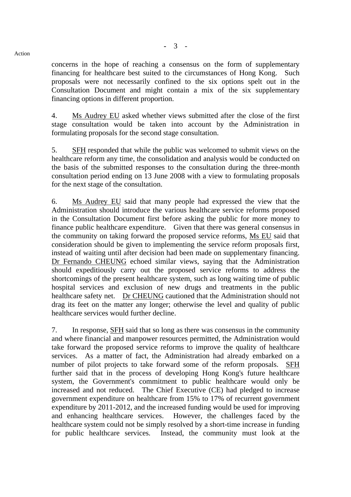concerns in the hope of reaching a consensus on the form of supplementary financing for healthcare best suited to the circumstances of Hong Kong. Such proposals were not necessarily confined to the six options spelt out in the Consultation Document and might contain a mix of the six supplementary financing options in different proportion.

4. Ms Audrey EU asked whether views submitted after the close of the first stage consultation would be taken into account by the Administration in formulating proposals for the second stage consultation.

5. SFH responded that while the public was welcomed to submit views on the healthcare reform any time, the consolidation and analysis would be conducted on the basis of the submitted responses to the consultation during the three-month consultation period ending on 13 June 2008 with a view to formulating proposals for the next stage of the consultation.

6. Ms Audrey EU said that many people had expressed the view that the Administration should introduce the various healthcare service reforms proposed in the Consultation Document first before asking the public for more money to finance public healthcare expenditure. Given that there was general consensus in the community on taking forward the proposed service reforms, Ms EU said that consideration should be given to implementing the service reform proposals first, instead of waiting until after decision had been made on supplementary financing. Dr Fernando CHEUNG echoed similar views, saying that the Administration should expeditiously carry out the proposed service reforms to address the shortcomings of the present healthcare system, such as long waiting time of public hospital services and exclusion of new drugs and treatments in the public healthcare safety net. Dr CHEUNG cautioned that the Administration should not drag its feet on the matter any longer; otherwise the level and quality of public healthcare services would further decline.

7. In response, SFH said that so long as there was consensus in the community and where financial and manpower resources permitted, the Administration would take forward the proposed service reforms to improve the quality of healthcare services. As a matter of fact, the Administration had already embarked on a number of pilot projects to take forward some of the reform proposals. SFH further said that in the process of developing Hong Kong's future healthcare system, the Government's commitment to public healthcare would only be increased and not reduced. The Chief Executive (CE) had pledged to increase government expenditure on healthcare from 15% to 17% of recurrent government expenditure by 2011-2012, and the increased funding would be used for improving and enhancing healthcare services. However, the challenges faced by the healthcare system could not be simply resolved by a short-time increase in funding for public healthcare services. Instead, the community must look at the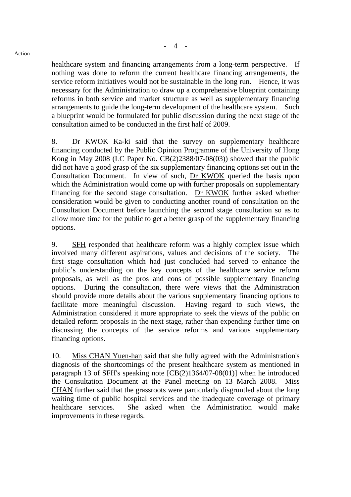healthcare system and financing arrangements from a long-term perspective. If nothing was done to reform the current healthcare financing arrangements, the service reform initiatives would not be sustainable in the long run. Hence, it was necessary for the Administration to draw up a comprehensive blueprint containing reforms in both service and market structure as well as supplementary financing arrangements to guide the long-term development of the healthcare system. Such a blueprint would be formulated for public discussion during the next stage of the consultation aimed to be conducted in the first half of 2009.

8. Dr KWOK Ka-ki said that the survey on supplementary healthcare financing conducted by the Public Opinion Programme of the University of Hong Kong in May 2008 (LC Paper No. CB(2)2388/07-08(03)) showed that the public did not have a good grasp of the six supplementary financing options set out in the Consultation Document. In view of such, Dr KWOK queried the basis upon which the Administration would come up with further proposals on supplementary financing for the second stage consultation. Dr KWOK further asked whether consideration would be given to conducting another round of consultation on the Consultation Document before launching the second stage consultation so as to allow more time for the public to get a better grasp of the supplementary financing options.

9. SFH responded that healthcare reform was a highly complex issue which involved many different aspirations, values and decisions of the society. The first stage consultation which had just concluded had served to enhance the public's understanding on the key concepts of the healthcare service reform proposals, as well as the pros and cons of possible supplementary financing options. During the consultation, there were views that the Administration should provide more details about the various supplementary financing options to facilitate more meaningful discussion. Having regard to such views, the Administration considered it more appropriate to seek the views of the public on detailed reform proposals in the next stage, rather than expending further time on discussing the concepts of the service reforms and various supplementary financing options.

10. Miss CHAN Yuen-han said that she fully agreed with the Administration's diagnosis of the shortcomings of the present healthcare system as mentioned in paragraph 13 of SFH's speaking note [CB(2)1364/07-08(01)] when he introduced the Consultation Document at the Panel meeting on 13 March 2008. Miss CHAN further said that the grassroots were particularly disgruntled about the long waiting time of public hospital services and the inadequate coverage of primary healthcare services. She asked when the Administration would make improvements in these regards.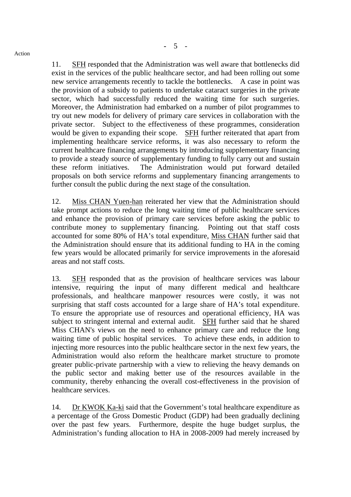11. SFH responded that the Administration was well aware that bottlenecks did exist in the services of the public healthcare sector, and had been rolling out some new service arrangements recently to tackle the bottlenecks. A case in point was the provision of a subsidy to patients to undertake cataract surgeries in the private sector, which had successfully reduced the waiting time for such surgeries. Moreover, the Administration had embarked on a number of pilot programmes to try out new models for delivery of primary care services in collaboration with the private sector. Subject to the effectiveness of these programmes, consideration would be given to expanding their scope. SFH further reiterated that apart from implementing healthcare service reforms, it was also necessary to reform the current healthcare financing arrangements by introducing supplementary financing to provide a steady source of supplementary funding to fully carry out and sustain these reform initiatives. The Administration would put forward detailed proposals on both service reforms and supplementary financing arrangements to further consult the public during the next stage of the consultation.

12. Miss CHAN Yuen-han reiterated her view that the Administration should take prompt actions to reduce the long waiting time of public healthcare services and enhance the provision of primary care services before asking the public to contribute money to supplementary financing. Pointing out that staff costs accounted for some 80% of HA's total expenditure, Miss CHAN further said that the Administration should ensure that its additional funding to HA in the coming few years would be allocated primarily for service improvements in the aforesaid areas and not staff costs.

13. SFH responded that as the provision of healthcare services was labour intensive, requiring the input of many different medical and healthcare professionals, and healthcare manpower resources were costly, it was not surprising that staff costs accounted for a large share of HA's total expenditure. To ensure the appropriate use of resources and operational efficiency, HA was subject to stringent internal and external audit. SFH further said that he shared Miss CHAN's views on the need to enhance primary care and reduce the long waiting time of public hospital services. To achieve these ends, in addition to injecting more resources into the public healthcare sector in the next few years, the Administration would also reform the healthcare market structure to promote greater public-private partnership with a view to relieving the heavy demands on the public sector and making better use of the resources available in the community, thereby enhancing the overall cost-effectiveness in the provision of healthcare services.

14. Dr KWOK Ka-ki said that the Government's total healthcare expenditure as a percentage of the Gross Domestic Product (GDP) had been gradually declining over the past few years. Furthermore, despite the huge budget surplus, the Administration's funding allocation to HA in 2008-2009 had merely increased by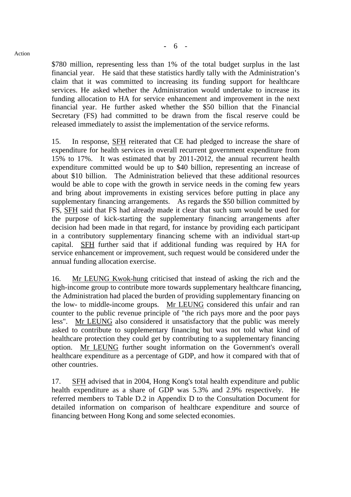Action

\$780 million, representing less than 1% of the total budget surplus in the last financial year. He said that these statistics hardly tally with the Administration's claim that it was committed to increasing its funding support for healthcare services. He asked whether the Administration would undertake to increase its funding allocation to HA for service enhancement and improvement in the next financial year. He further asked whether the \$50 billion that the Financial Secretary (FS) had committed to be drawn from the fiscal reserve could be released immediately to assist the implementation of the service reforms.

15. In response, SFH reiterated that CE had pledged to increase the share of expenditure for health services in overall recurrent government expenditure from 15% to 17%. It was estimated that by 2011-2012, the annual recurrent health expenditure committed would be up to \$40 billion, representing an increase of about \$10 billion. The Administration believed that these additional resources would be able to cope with the growth in service needs in the coming few years and bring about improvements in existing services before putting in place any supplementary financing arrangements. As regards the \$50 billion committed by FS, SFH said that FS had already made it clear that such sum would be used for the purpose of kick-starting the supplementary financing arrangements after decision had been made in that regard, for instance by providing each participant in a contributory supplementary financing scheme with an individual start-up capital. SFH further said that if additional funding was required by HA for service enhancement or improvement, such request would be considered under the annual funding allocation exercise.

16. Mr LEUNG Kwok-hung criticised that instead of asking the rich and the high-income group to contribute more towards supplementary healthcare financing, the Administration had placed the burden of providing supplementary financing on the low- to middle-income groups. Mr LEUNG considered this unfair and ran counter to the public revenue principle of "the rich pays more and the poor pays less". Mr LEUNG also considered it unsatisfactory that the public was merely asked to contribute to supplementary financing but was not told what kind of healthcare protection they could get by contributing to a supplementary financing option. Mr LEUNG further sought information on the Government's overall healthcare expenditure as a percentage of GDP, and how it compared with that of other countries.

17. SFH advised that in 2004, Hong Kong's total health expenditure and public health expenditure as a share of GDP was 5.3% and 2.9% respectively. He referred members to Table D.2 in Appendix D to the Consultation Document for detailed information on comparison of healthcare expenditure and source of financing between Hong Kong and some selected economies.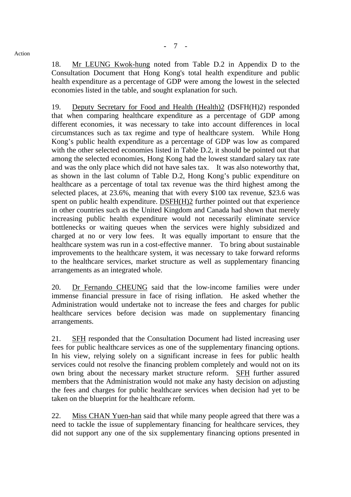18. Mr LEUNG Kwok-hung noted from Table D.2 in Appendix D to the Consultation Document that Hong Kong's total health expenditure and public health expenditure as a percentage of GDP were among the lowest in the selected economies listed in the table, and sought explanation for such.

19. Deputy Secretary for Food and Health (Health)2 (DSFH(H)2) responded that when comparing healthcare expenditure as a percentage of GDP among different economies, it was necessary to take into account differences in local circumstances such as tax regime and type of healthcare system. While Hong Kong's public health expenditure as a percentage of GDP was low as compared with the other selected economies listed in Table D.2, it should be pointed out that among the selected economies, Hong Kong had the lowest standard salary tax rate and was the only place which did not have sales tax. It was also noteworthy that, as shown in the last column of Table D.2, Hong Kong's public expenditure on healthcare as a percentage of total tax revenue was the third highest among the selected places, at 23.6%, meaning that with every \$100 tax revenue, \$23.6 was spent on public health expenditure. DSFH(H)2 further pointed out that experience in other countries such as the United Kingdom and Canada had shown that merely increasing public health expenditure would not necessarily eliminate service bottlenecks or waiting queues when the services were highly subsidized and charged at no or very low fees. It was equally important to ensure that the healthcare system was run in a cost-effective manner. To bring about sustainable improvements to the healthcare system, it was necessary to take forward reforms to the healthcare services, market structure as well as supplementary financing arrangements as an integrated whole.

20. Dr Fernando CHEUNG said that the low-income families were under immense financial pressure in face of rising inflation. He asked whether the Administration would undertake not to increase the fees and charges for public healthcare services before decision was made on supplementary financing arrangements.

21. SFH responded that the Consultation Document had listed increasing user fees for public healthcare services as one of the supplementary financing options. In his view, relying solely on a significant increase in fees for public health services could not resolve the financing problem completely and would not on its own bring about the necessary market structure reform. SFH further assured members that the Administration would not make any hasty decision on adjusting the fees and charges for public healthcare services when decision had yet to be taken on the blueprint for the healthcare reform.

22. Miss CHAN Yuen-han said that while many people agreed that there was a need to tackle the issue of supplementary financing for healthcare services, they did not support any one of the six supplementary financing options presented in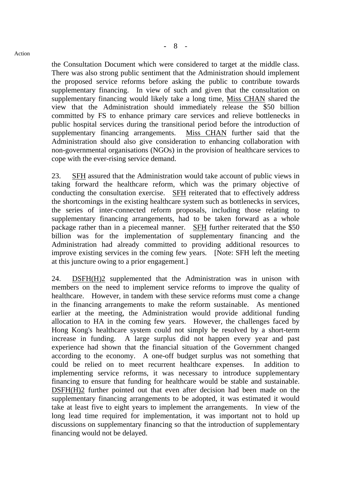Action

the Consultation Document which were considered to target at the middle class. There was also strong public sentiment that the Administration should implement the proposed service reforms before asking the public to contribute towards supplementary financing. In view of such and given that the consultation on supplementary financing would likely take a long time, Miss CHAN shared the view that the Administration should immediately release the \$50 billion committed by FS to enhance primary care services and relieve bottlenecks in public hospital services during the transitional period before the introduction of supplementary financing arrangements. Miss CHAN further said that the Administration should also give consideration to enhancing collaboration with non-governmental organisations (NGOs) in the provision of healthcare services to cope with the ever-rising service demand.

23. SFH assured that the Administration would take account of public views in taking forward the healthcare reform, which was the primary objective of conducting the consultation exercise. SFH reiterated that to effectively address the shortcomings in the existing healthcare system such as bottlenecks in services, the series of inter-connected reform proposals, including those relating to supplementary financing arrangements, had to be taken forward as a whole package rather than in a piecemeal manner. SFH further reiterated that the \$50 billion was for the implementation of supplementary financing and the Administration had already committed to providing additional resources to improve existing services in the coming few years. [Note: SFH left the meeting at this juncture owing to a prior engagement.]

24. DSFH(H)2 supplemented that the Administration was in unison with members on the need to implement service reforms to improve the quality of healthcare. However, in tandem with these service reforms must come a change in the financing arrangements to make the reform sustainable. As mentioned earlier at the meeting, the Administration would provide additional funding allocation to HA in the coming few years. However, the challenges faced by Hong Kong's healthcare system could not simply be resolved by a short-term increase in funding. A large surplus did not happen every year and past experience had shown that the financial situation of the Government changed according to the economy. A one-off budget surplus was not something that could be relied on to meet recurrent healthcare expenses. In addition to implementing service reforms, it was necessary to introduce supplementary financing to ensure that funding for healthcare would be stable and sustainable. DSFH(H)2 further pointed out that even after decision had been made on the supplementary financing arrangements to be adopted, it was estimated it would take at least five to eight years to implement the arrangements. In view of the long lead time required for implementation, it was important not to hold up discussions on supplementary financing so that the introduction of supplementary financing would not be delayed.